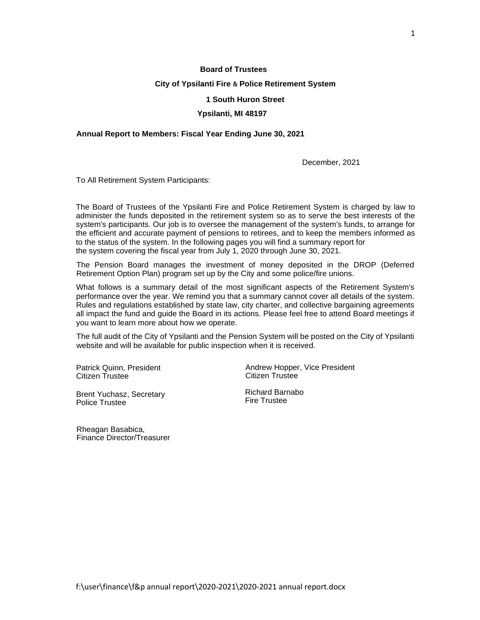### **Board of Trustees**

#### **City of Ypsilanti Fire & Police Retirement System**

### **1 South Huron Street**

#### **Ypsilanti, MI 48197**

### **Annual Report to Members: Fiscal Year Ending June 30, 2021**

December, 2021

To All Retirement System Participants:

The Board of Trustees of the Ypsilanti Fire and Police Retirement System is charged by law to administer the funds deposited in the retirement system so as to serve the best interests of the system's participants. Our job is to oversee the management of the system's funds, to arrange for the efficient and accurate payment of pensions to retirees, and to keep the members informed as to the status of the system. In the following pages you will find a summary report for the system covering the fiscal year from July 1, 2020 through June 30, 2021.

The Pension Board manages the investment of money deposited in the DROP (Deferred Retirement Option Plan) program set up by the City and some police/fire unions.

What follows is a summary detail of the most significant aspects of the Retirement System's performance over the year. We remind you that a summary cannot cover all details of the system. Rules and regulations established by state law, city charter, and collective bargaining agreements all impact the fund and guide the Board in its actions. Please feel free to attend Board meetings if you want to learn more about how we operate.

The full audit of the City of Ypsilanti and the Pension System will be posted on the City of Ypsilanti website and will be available for public inspection when it is received.

Patrick Quinn, President Citizen Trustee

Brent Yuchasz, Secretary Police Trustee

Rheagan Basabica, Finance Director/Treasurer Andrew Hopper, Vice President Citizen Trustee

Richard Barnabo Fire Trustee

1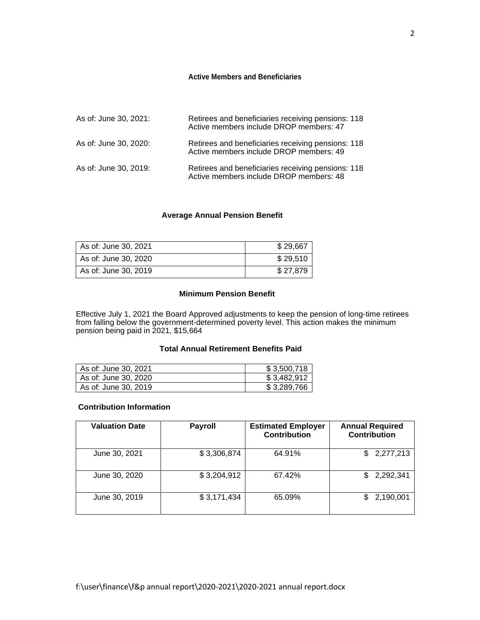#### **Active Members and Beneficiaries**

| As of: June 30, 2021: | Retirees and beneficiaries receiving pensions: 118<br>Active members include DROP members: 47 |
|-----------------------|-----------------------------------------------------------------------------------------------|
| As of: June 30, 2020: | Retirees and beneficiaries receiving pensions: 118<br>Active members include DROP members: 49 |
| As of: June 30, 2019: | Retirees and beneficiaries receiving pensions: 118<br>Active members include DROP members: 48 |

## **Average Annual Pension Benefit**

| As of: June 30, 2021 | \$29,667 |
|----------------------|----------|
| As of: June 30, 2020 | \$29,510 |
| As of: June 30, 2019 | \$27,879 |

## **Minimum Pension Benefit**

Effective July 1, 2021 the Board Approved adjustments to keep the pension of long-time retirees from falling below the government-determined poverty level. This action makes the minimum pension being paid in 2021, \$15,664

# **Total Annual Retirement Benefits Paid**

| As of: June 30, 2021 | \$3,500,718 |
|----------------------|-------------|
| As of: June 30, 2020 | \$3,482,912 |
| As of: June 30, 2019 | \$3,289,766 |

## **Contribution Information**

| <b>Valuation Date</b> | <b>Payroll</b> | <b>Estimated Employer</b><br><b>Contribution</b> | <b>Annual Required</b><br><b>Contribution</b> |
|-----------------------|----------------|--------------------------------------------------|-----------------------------------------------|
| June 30, 2021         | \$3,306,874    | 64.91%                                           | 2,277,213<br>SS.                              |
| June 30, 2020         | \$3,204,912    | 67.42%                                           | 2,292,341<br>SS.                              |
| June 30, 2019         | \$3,171,434    | 65.09%                                           | 2,190,001<br>\$.                              |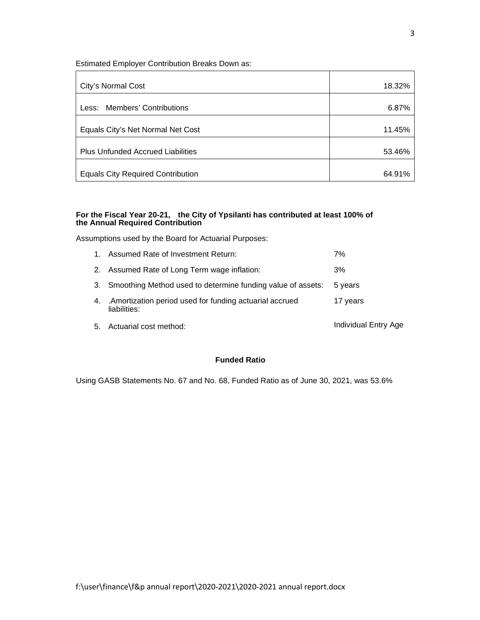Estimated Employer Contribution Breaks Down as:

| City's Normal Cost                       | 18.32% |
|------------------------------------------|--------|
| Less: Members' Contributions             | 6.87%  |
| Equals City's Net Normal Net Cost        | 11.45% |
| <b>Plus Unfunded Accrued Liabilities</b> | 53.46% |
| <b>Equals City Required Contribution</b> | 64.91% |

#### **For the Fiscal Year 20-21, the City of Ypsilanti has contributed at least 100% of the Annual Required Contribution**

Assumptions used by the Board for Actuarial Purposes:

|    | 1. Assumed Rate of Investment Return:                                    | 7%                   |
|----|--------------------------------------------------------------------------|----------------------|
|    | 2. Assumed Rate of Long Term wage inflation:                             | 3%                   |
|    | 3. Smoothing Method used to determine funding value of assets:           | 5 years              |
| 4. | . Amortization period used for funding actuarial accrued<br>liabilities: | 17 years             |
| 5. | Actuarial cost method:                                                   | Individual Entry Age |

# **Funded Ratio**

Using GASB Statements No. 67 and No. 68, Funded Ratio as of June 30, 2021, was 53.6%